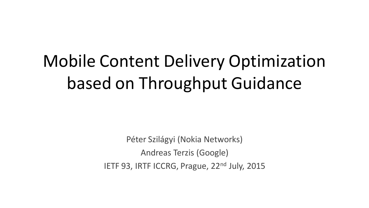# Mobile Content Delivery Optimization based on Throughput Guidance

Péter Szilágyi (Nokia Networks) Andreas Terzis (Google) IETF 93, IRTF ICCRG, Prague, 22<sup>nd</sup> July, 2015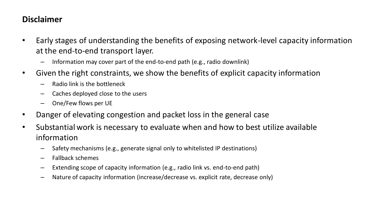# **Disclaimer**

- Early stages of understanding the benefits of exposing network-level capacity information at the end-to-end transport layer.
	- Information may cover part of the end-to-end path (e.g., radio downlink)
- Given the right constraints, we show the benefits of explicit capacity information
	- Radio link is the bottleneck
	- Caches deployed close to the users
	- One/Few flows per UE
- Danger of elevating congestion and packet loss in the general case
- Substantial work is necessary to evaluate when and how to best utilize available information
	- Safety mechanisms (e.g., generate signal only to whitelisted IP destinations)
	- Fallback schemes
	- Extending scope of capacity information (e.g., radio link vs. end-to-end path)
	- Nature of capacity information (increase/decrease vs. explicit rate, decrease only)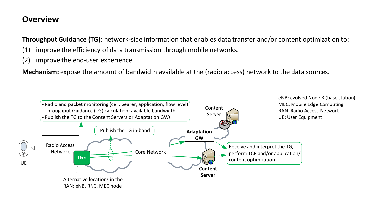#### **Overview**

**Throughput Guidance (TG)**: network-side information that enables data transfer and/or content optimization to:

- (1) improve the efficiency of data transmission through mobile networks.
- (2) improve the end-user experience.

**Mechanism:** expose the amount of bandwidth available at the (radio access) network to the data sources.

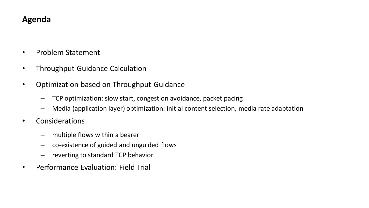## **Agenda**

- Problem Statement
- Throughput Guidance Calculation
- Optimization based on Throughput Guidance
	- TCP optimization: slow start, congestion avoidance, packet pacing
	- Media (application layer) optimization: initial content selection, media rate adaptation
- Considerations
	- multiple flows within a bearer
	- co-existence of guided and unguided flows
	- reverting to standard TCP behavior
- Performance Evaluation: Field Trial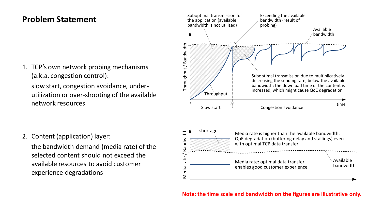# **Problem Statement**

1. TCP's own network probing mechanisms (a.k.a. congestion control):

slow start, congestion avoidance, underutilization or over-shooting of the available network resources

2. Content (application) layer:

the bandwidth demand (media rate) of the selected content should not exceed the available resources to avoid customer experience degradations

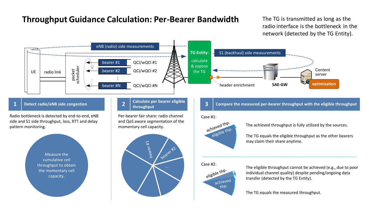# **Throughput Guidance Calculation: Per-Bearer Bandwidth** The TG is transmitted as long as the

radio interface is the bottleneck in the network (detected by the TG Entity).

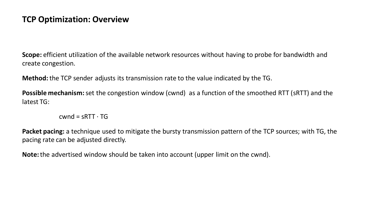### **TCP Optimization: Overview**

**Scope:** efficient utilization of the available network resources without having to probe for bandwidth and create congestion.

**Method:** the TCP sender adjusts its transmission rate to the value indicated by the TG.

**Possible mechanism:** set the congestion window (cwnd) as a function of the smoothed RTT (sRTT) and the latest TG:

 $cwnd = sRTT \cdot TG$ 

**Packet pacing:** a technique used to mitigate the bursty transmission pattern of the TCP sources; with TG, the pacing rate can be adjusted directly.

**Note:** the advertised window should be taken into account (upper limit on the cwnd).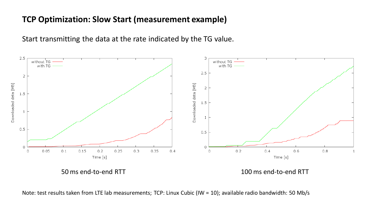# **TCP Optimization: Slow Start (measurement example)**

Start transmitting the data at the rate indicated by the TG value.



Note: test results taken from LTE lab measurements; TCP: Linux Cubic (IW = 10); available radio bandwidth: 50 Mb/s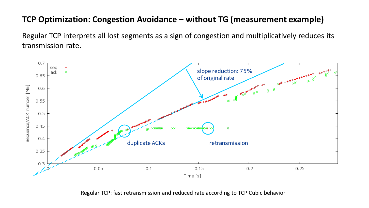# **TCP Optimization: Congestion Avoidance – without TG (measurement example)**

Regular TCP interprets all lost segments as a sign of congestion and multiplicatively reduces its transmission rate.



Regular TCP: fast retransmission and reduced rate according to TCP Cubic behavior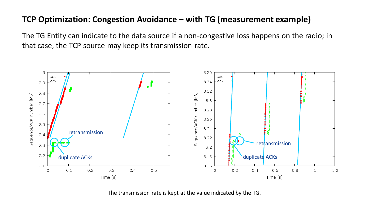# **TCP Optimization: Congestion Avoidance – with TG (measurement example)**

The TG Entity can indicate to the data source if a non-congestive loss happens on the radio; in that case, the TCP source may keep its transmission rate.



The transmission rate is kept at the value indicated by the TG.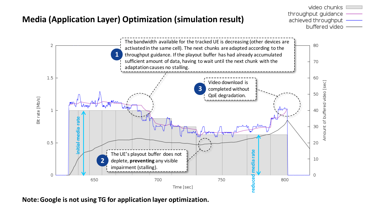# **Media (Application Layer) Optimization (simulation result)**





**Note: Google is not using TG for application layer optimization.**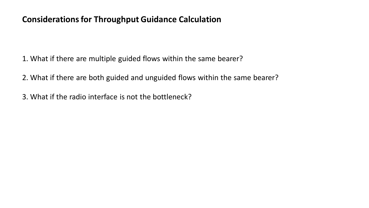# **Considerations for Throughput Guidance Calculation**

1. What if there are multiple guided flows within the same bearer?

2. What if there are both guided and unguided flows within the same bearer?

3. What if the radio interface is not the bottleneck?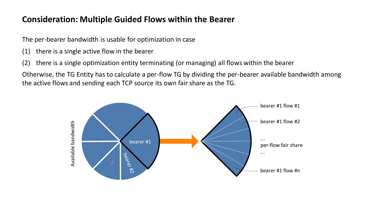# **Consideration: Multiple Guided Flows within the Bearer**

The per-bearer bandwidth is usable for optimization in case

- (1) there is a single active flow in the bearer
- (2) there is a single optimization entity terminating (or managing) all flows within the bearer

Otherwise, the TG Entity has to calculate a per-flow TG by dividing the per-bearer available bandwidth among the active flows and sending each TCP source its own fair share as the TG.

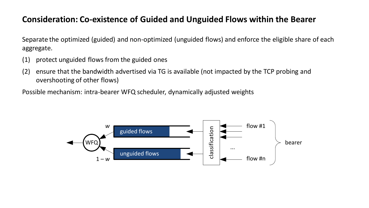# **Consideration: Co-existence of Guided and Unguided Flows within the Bearer**

Separate the optimized (guided) and non-optimized (unguided flows) and enforce the eligible share of each aggregate.

- (1) protect unguided flows from the guided ones
- (2) ensure that the bandwidth advertised via TG is available (not impacted by the TCP probing and overshooting of other flows)

Possible mechanism: intra-bearer WFQ scheduler, dynamically adjusted weights

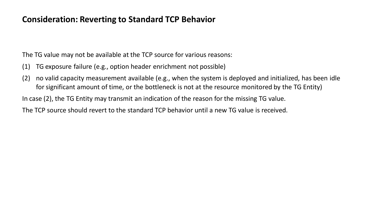### **Consideration: Reverting to Standard TCP Behavior**

The TG value may not be available at the TCP source for various reasons:

- (1) TG exposure failure (e.g., option header enrichment not possible)
- (2) no valid capacity measurement available (e.g., when the system is deployed and initialized, has been idle for significant amount of time, or the bottleneck is not at the resource monitored by the TG Entity)

In case (2), the TG Entity may transmit an indication of the reason for the missing TG value.

The TCP source should revert to the standard TCP behavior until a new TG value is received.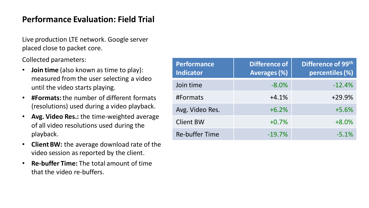# **Performance Evaluation: Field Trial**

Live production LTE network. Google server placed close to packet core.

Collected parameters:

- **Join time** (also known as time to play): measured from the user selecting a video until the video starts playing.
- **#Formats:** the number of different formats (resolutions) used during a video playback.
- **Avg. Video Res.:** the time-weighted average of all video resolutions used during the playback.
- **Client BW:** the average download rate of the video session as reported by the client.
- **Re-buffer Time:** The total amount of time that the video re-buffers.

| <b>Performance</b><br><b>Indicator</b> | <b>Difference of</b><br><b>Averages (%)</b> | Difference of 99th<br>percentiles (%) |
|----------------------------------------|---------------------------------------------|---------------------------------------|
| Join time                              | $-8.0%$                                     | $-12.4%$                              |
| #Formats                               | $+4.1%$                                     | $+29.9%$                              |
| Avg. Video Res.                        | $+6.2%$                                     | $+5.6%$                               |
| <b>Client BW</b>                       | $+0.7%$                                     | $+8.0%$                               |
| <b>Re-buffer Time</b>                  | $-19.7%$                                    | $-5.1%$                               |